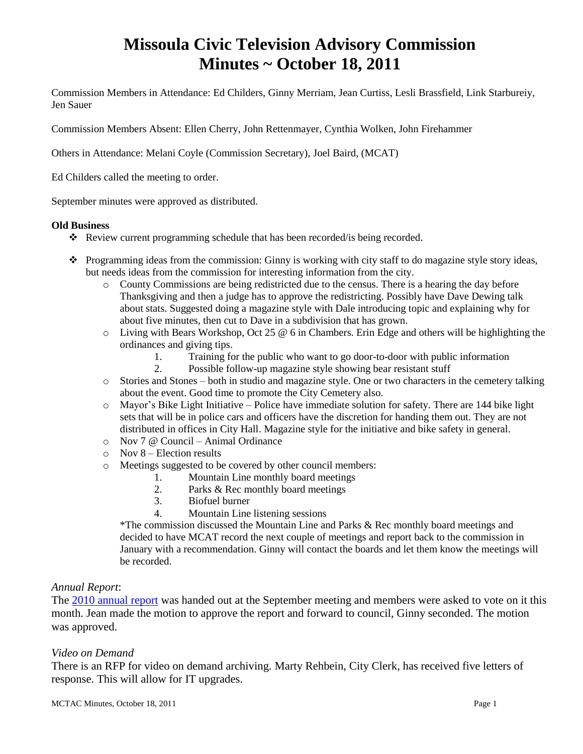# **Missoula Civic Television Advisory Commission Minutes ~ October 18, 2011**

Commission Members in Attendance: Ed Childers, Ginny Merriam, Jean Curtiss, Lesli Brassfield, Link Starbureiy, Jen Sauer

Commission Members Absent: Ellen Cherry, John Rettenmayer, Cynthia Wolken, John Firehammer

Others in Attendance: Melani Coyle (Commission Secretary), Joel Baird, (MCAT)

Ed Childers called the meeting to order.

September minutes were approved as distributed.

#### **Old Business**

- Review current programming schedule that has been recorded/is being recorded.
- $\bullet$  Programming ideas from the commission: Ginny is working with city staff to do magazine style story ideas, but needs ideas from the commission for interesting information from the city.
	- o County Commissions are being redistricted due to the census. There is a hearing the day before Thanksgiving and then a judge has to approve the redistricting. Possibly have Dave Dewing talk about stats. Suggested doing a magazine style with Dale introducing topic and explaining why for about five minutes, then cut to Dave in a subdivision that has grown.
	- $\circ$  Living with Bears Workshop, Oct 25  $\circledcirc$  6 in Chambers. Erin Edge and others will be highlighting the ordinances and giving tips.
		- 1. Training for the public who want to go door-to-door with public information
		- 2. Possible follow-up magazine style showing bear resistant stuff
	- o Stories and Stones both in studio and magazine style. One or two characters in the cemetery talking about the event. Good time to promote the City Cemetery also.
	- o Mayor's Bike Light Initiative Police have immediate solution for safety. There are 144 bike light sets that will be in police cars and officers have the discretion for handing them out. They are not distributed in offices in City Hall. Magazine style for the initiative and bike safety in general.
	- o Nov 7 @ Council Animal Ordinance
	- $\circ$  Nov 8 Election results
	- o Meetings suggested to be covered by other council members:
		- 1. Mountain Line monthly board meetings
		- 2. Parks & Rec monthly board meetings
		- 3. Biofuel burner
		- 4. Mountain Line listening sessions

\*The commission discussed the Mountain Line and Parks & Rec monthly board meetings and decided to have MCAT record the next couple of meetings and report back to the commission in January with a recommendation. Ginny will contact the boards and let them know the meetings will be recorded.

## *Annual Report*:

The [2010 annual report](ftp://ftp.ci.missoula.mt.us/Documents/Mayor/GCCAC/2011/Final MCTAC Report 2010.pdf) was handed out at the September meeting and members were asked to vote on it this month. Jean made the motion to approve the report and forward to council, Ginny seconded. The motion was approved.

## *Video on Demand*

There is an RFP for video on demand archiving. Marty Rehbein, City Clerk, has received five letters of response. This will allow for IT upgrades.